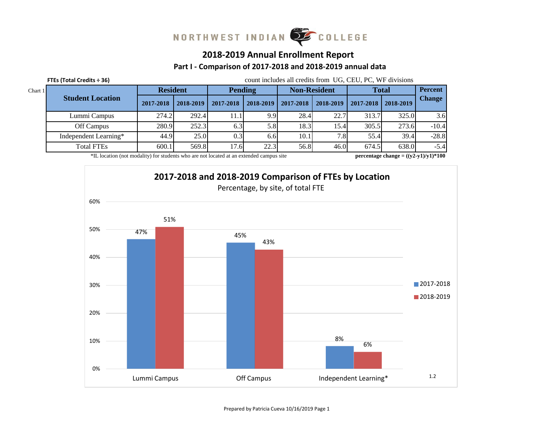# NORTHWEST INDIAN COLLEGE

### **2018-2019 Annual Enrollment Report**

#### **Part I - Comparison of 2017-2018 and 2018-2019 annual data**

|         | FTEs (Total Credits ÷ 36)             |                 |               | count includes all credits from UG, CEU, PC, WF divisions |           |                         |           |              |                                                   |                |  |  |  |
|---------|---------------------------------------|-----------------|---------------|-----------------------------------------------------------|-----------|-------------------------|-----------|--------------|---------------------------------------------------|----------------|--|--|--|
| Chart 1 |                                       | <b>Resident</b> |               | <b>Pending</b>                                            |           | <b>Non-Resident</b>     |           | <b>Total</b> |                                                   | <b>Percent</b> |  |  |  |
|         | <b>Student Location</b>               | 2017-2018       | $2018 - 2019$ | 2017-2018                                                 | 2018-2019 | $\mid$ 2017-2018 $\mid$ | 2018-2019 | 2017-2018    | 2018-2019                                         | <b>Change</b>  |  |  |  |
|         | Lummi Campus                          | 274.2           | 292.4         | 11.1                                                      | 9.9       | 28.4                    | 22.7      | 313.7        | 325.0                                             | 3.6            |  |  |  |
|         | Off Campus                            | 280.9           | 252.3         | 6.3                                                       | 5.8       | 18.3                    | 15.4      | 305.5        | 273.6                                             | $-10.4$        |  |  |  |
|         | 25.0<br>Independent Learning*<br>44.9 |                 |               | 0.3                                                       | 6.6       | 10.1 <sub>1</sub>       | 7.8       | 55.4         | 39.4                                              | $-28.8$        |  |  |  |
|         | <b>Total FTEs</b>                     | 569.8<br>17.6   | 22.3          | 56.8                                                      | 46.0      | 674.5                   | 638.0     | $-5.4$       |                                                   |                |  |  |  |
|         |                                       |                 |               |                                                           |           |                         |           |              | $(1 - 4)$ $(1 - 1)$ $(1 - 4)$ $(1 - 4)$ $(1 + 1)$ |                |  |  |  |

\*IL location (not modality) for students who are not located at an extended campus site

**percentage change = ((y2-y1)/y1)\*100**

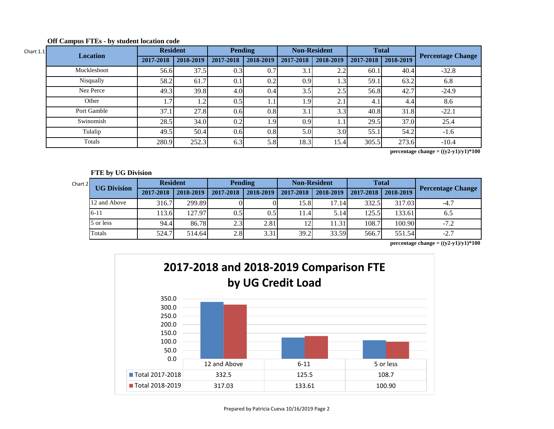| Chart $1.1$ | <b>Location</b> | <b>Resident</b> |           | <b>Pending</b> |           |           | <b>Non-Resident</b> |       | <b>Total</b>          |                          |
|-------------|-----------------|-----------------|-----------|----------------|-----------|-----------|---------------------|-------|-----------------------|--------------------------|
|             |                 | 2017-2018       | 2018-2019 | 2017-2018      | 2018-2019 | 2017-2018 | 2018-2019           |       | 2017-2018   2018-2019 | <b>Percentage Change</b> |
|             | Muckleshoot     | 56.6            | 37.5      | 0.3            | 0.7       | 3.1       | 2.2                 | 60.1  | 40.4                  | $-32.8$                  |
|             | Nisqually       | 58.2            | 61.7      | 0.1            | 0.2       | 0.9       | 1.3 <sup>1</sup>    | 59.1  | 63.2                  | 6.8                      |
|             | Nez Perce       | 49.3            | 39.8      | 4.0            | 0.4       | 3.5       | 2.5                 | 56.8  | 42.7                  | $-24.9$                  |
|             | Other           | $1.7^{\circ}$   |           | 0.5            | 1.1       | 1.9'      | ⌒                   | 4.1   | 4.4                   | 8.6                      |
|             | Port Gamble     | 37.1            | 27.8      | 0.6            | 0.8       | 3.1       | 3.3                 | 40.8  | 31.8                  | $-22.1$                  |
|             | Swinomish       | 28.5            | 34.0      | 0.2            | 1.9'      | 0.9       |                     | 29.5  | 37.0                  | 25.4                     |
|             | Tulalip         | 49.5            | 50.4      | 0.6            | 0.8       | 5.0       | 3.0 <sub>l</sub>    | 55.1  | 54.2                  | $-1.6$                   |
|             | Totals          | 280.9           | 252.3     | 6.3            | 5.8       | 18.3      | 15.4                | 305.5 | 273.6                 | $-10.4$                  |

#### **Off Campus FTEs - by student location code**

**percentage change = ((y2-y1)/y1)\*100**

#### **FTE by UG Division**

| Chart 2 | <b>UG Division</b> |           | <b>Resident</b> |           | <b>Pending</b> |           | <b>Non-Resident</b> | <b>Total</b> |           |                          |
|---------|--------------------|-----------|-----------------|-----------|----------------|-----------|---------------------|--------------|-----------|--------------------------|
|         |                    | 2017-2018 | 2018-2019       | 2017-2018 | 2018-2019      | 2017-2018 | 2018-2019           | 2017-2018    | 2018-2019 | <b>Percentage Change</b> |
|         | 12 and Above       | 316.7     | 299.89          |           |                | 15.8      | 17.14               | 332.5        | 317.03    | $-4.7$                   |
|         | $6 - 11$           | 113.6     | 127.97          | 0.5       | 0.51           | 11.4      | 5.14                | 125.5        | 133.61    | 6.5                      |
|         | 5 or less          | 94.4      | 86.78           | 2.3       | 2.81           |           | 1.31                | 108.7        | 100.90    | $-7.2$                   |
|         | Totals             | 524.7     | 514.64          | 2.8       | 3.31           | 39.2      | 33.59               | 566.7        | 551.54    | $-2.7$                   |

**percentage change =**  $((y2-y1)/y1)*100$ 

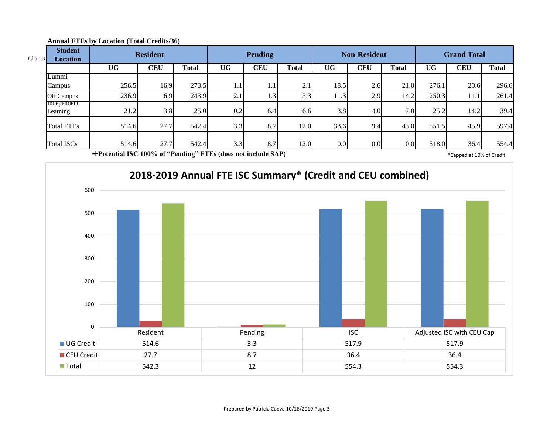| Chart 3 | <b>Student</b><br><b>Location</b> | <b>Resident</b> |            |              | <b>Pending</b> |              |              | <b>Non-Resident</b> |            | <b>Grand Total</b> |           |            |              |
|---------|-----------------------------------|-----------------|------------|--------------|----------------|--------------|--------------|---------------------|------------|--------------------|-----------|------------|--------------|
|         |                                   | <b>UG</b>       | <b>CEU</b> | <b>Total</b> | <b>UG</b>      | <b>CEU</b>   | <b>Total</b> | <b>UG</b>           | <b>CEU</b> | <b>Total</b>       | <b>UG</b> | <b>CEU</b> | <b>Total</b> |
|         | Lummi                             |                 |            |              |                |              |              |                     |            |                    |           |            |              |
|         | Campus                            | 256.5           | 16.9       | 273.5        | 1.1            | $\mathbf{L}$ | $2.1_{1}$    | 18.5                | 2.6        | 21.0               | 276.1     | 20.6       | 296.6        |
|         | Off Campus                        | 236.9           | 6.9        | 243.9        | 2.1            | $\cdot$ 3    | 3.3          | 11.3                | 2.9        | 14.2               | 250.3     | 11.1       | 261.4        |
|         | Independent                       |                 |            |              |                |              |              |                     |            |                    |           |            |              |
|         | Learning                          | 21.2            | 3.8        | 25.0         | 0.2            | 6.4          | 6.6          | 3.8                 | 4.0        | 7.8                | 25.2      | 14.2       | 39.4         |
|         | <b>Total FTEs</b>                 | 514.6           | 27.7       | 542.4        | 3.3            | 8.7          | 12.0         | 33.6                | 9.4        | 43.0               | 551.5     | 45.9       | 597.4        |
|         | <b>Total ISCs</b>                 | 514.6           | 27.7       | 542.4        | 3.3            | 8.7          | 12.0         | 0.0                 | 0.0        | 0.0                | 518.0     | 36.4       | 554.4        |

#### **Annual FTEs by Location (Total Credits/36)**

**Potential ISC 100% of "Pending" FTEs (does not include SAP)** \* Capped at 10% of Credit

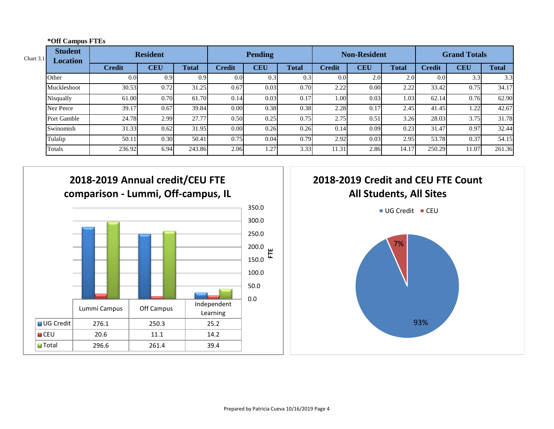| Chart $3.1$ | <b>Student</b><br><b>Location</b> | <b>Resident</b> |            |              | <b>Pending</b>   |            |              |                  | <b>Non-Resident</b> |              | <b>Grand Totals</b> |            |              |
|-------------|-----------------------------------|-----------------|------------|--------------|------------------|------------|--------------|------------------|---------------------|--------------|---------------------|------------|--------------|
|             |                                   | <b>Credit</b>   | <b>CEU</b> | <b>Total</b> | <b>Credit</b>    | <b>CEU</b> | <b>Total</b> | <b>Credit</b>    | <b>CEU</b>          | <b>Total</b> | <b>Credit</b>       | <b>CEU</b> | <b>Total</b> |
|             | Other                             | 0.0             | 0.91       | 0.9          | 0.0 <sub>l</sub> | 0.3        | 0.3          | 0.0 <sub>l</sub> | 2.0                 | 2.0          | 0.0 <sub>l</sub>    | 3.3        | 3.3          |
|             | Muckleshoot                       | 30.53           | 0.72       | 31.25        | 0.67             | 0.03       | 0.70         | 2.22             | 0.00                | 2.22         | 33.42               | 0.75       | 34.17        |
|             | Nisqually                         | 61.00           | 0.70       | 61.70        | 0.14             | 0.03       | 0.17         | 1.00             | 0.03                | 1.03         | 62.14               | 0.76       | 62.90        |
|             | <b>Nez Perce</b>                  | 39.17           | 0.67       | 39.84        | 0.00             | 0.38       | 0.38         | 2.28             | 0.17                | 2.45         | 41.45               | 1.22       | 42.67        |
|             | Port Gamble                       | 24.78           | 2.99       | 27.77        | 0.50             | 0.25       | 0.75         | 2.75             | 0.51                | 3.26         | 28.03               | 3.75       | 31.78        |
|             | Swinomish                         | 31.33           | 0.62       | 31.95        | 0.00             | 0.26       | 0.26         | 0.14             | 0.09                | 0.23         | 31.47               | 0.97       | 32.44        |
|             | Tulalip                           | 50.11           | 0.30       | 50.41        | 0.75             | 0.04       | 0.79         | 2.92             | 0.03                | 2.95         | 53.78               | 0.37       | 54.15        |
|             | Totals                            | 236.92          | 6.94       | 243.86       | 2.06             | 1.27       | 3.33         | 11.31            | 2.86                | 14.17        | 250.29              | 11.07      | 261.36       |



**\*Off Campus FTEs**

# **2018-2019 Credit and CEU FTE Count All Students, All Sites**

 $\blacksquare$  UG Credit  $\blacksquare$  CEU

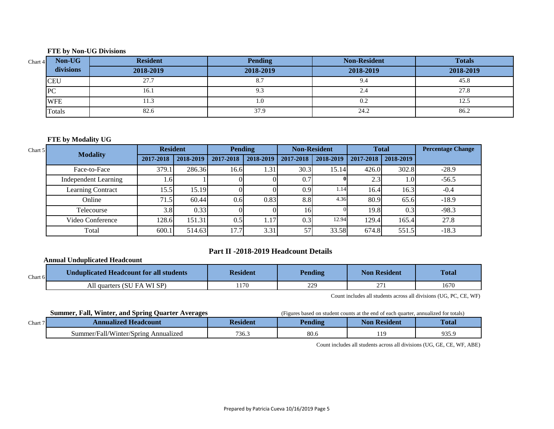#### **FTE by Non-UG Divisions**

| Chart 4 | Non-UG     | <b>Resident</b> | <b>Pending</b> | <b>Non-Resident</b> | <b>Totals</b> |
|---------|------------|-----------------|----------------|---------------------|---------------|
|         | divisions  | 2018-2019       | 2018-2019      | 2018-2019           | 2018-2019     |
|         | <b>CEU</b> | 27.7            | o.             | 9.4                 | 45.8          |
|         | PC         | 16.1            | כ.ל            | 4.4                 | 27.8          |
|         | <b>WFE</b> | 11.3            | 1.0            | 0.2                 | 12.1          |
|         | Totals     | 82.6            | 37.9           | 24.2                | 86.2          |

#### **FTE by Modality UG**

| Chart 5 | <b>Modality</b>             | <b>Resident</b> |           |           | Pending   |           | <b>Non-Resident</b> |           | <b>Total</b> | <b>Percentage Change</b> |
|---------|-----------------------------|-----------------|-----------|-----------|-----------|-----------|---------------------|-----------|--------------|--------------------------|
|         |                             | 2017-2018       | 2018-2019 | 2017-2018 | 2018-2019 | 2017-2018 | 2018-2019           | 2017-2018 | 2018-2019    |                          |
|         | Face-to-Face                | 379.1           | 286.36    | 16.61     | 1.31      | 30.3      | 15.14               | 426.0     | 302.8        | $-28.9$                  |
|         | <b>Independent Learning</b> | ـ 61.           |           |           |           | 0.7       |                     | 2.3       | 1.0L         | $-56.5$                  |
|         | <b>Learning Contract</b>    | 15.5            | 15.19     |           |           | 0.9       | 1.14                | 16.4      | 16.3         | $-0.4$                   |
|         | Online                      | 71.5            | 60.44     | 0.6       | 0.83      | 8.8       | 4.36                | 80.9      | 65.6         | $-18.9$                  |
|         | Telecourse                  | 3.8             | 0.33      |           |           | 16        |                     | 19.8      | 0.3          | $-98.3$                  |
|         | Video Conference            | 128.6           | 151.31    | 0.5       | 1.17      | 0.3       | 12.94               | 129.4     | 165.4        | 27.8                     |
|         | Total                       | 600.1           | 514.63    | 17.7      | 3.31      | 57        | 33.58               | 674.8     | 551.5        | $-18.3$                  |

#### **Part II -2018-2019 Headcount Details**

#### **Annual Unduplicated Headcount**

| Chart $6$ | Unduplicated Headcount for all students | <b>Resident</b> | <b>Pending</b> | Non Resident | <b>Total</b> |
|-----------|-----------------------------------------|-----------------|----------------|--------------|--------------|
|           | All quarters (SU FA WI SP)              | .170            | 229            | $\sim$       | 1670         |

Count includes all students across all divisions (UG, PC, CE, WF)

**Summer, Fall, Winter, and Spring Quarter Averages** (Figures based on student counts at the end of each quarter, annualized for totals)

| Chart 7 | <b>nualized Headcount</b><br>vnn                  | ıden  | Pending | Resident<br><b>Non</b> | <b>Total</b> |
|---------|---------------------------------------------------|-------|---------|------------------------|--------------|
|         | Annualızed<br>.summer/"<br>Vinter/Spring-<br>Fall | 736.5 | 80.6    | 10                     | 935.9        |

Count includes all students across all divisions (UG, GE, CE, WF, ABE)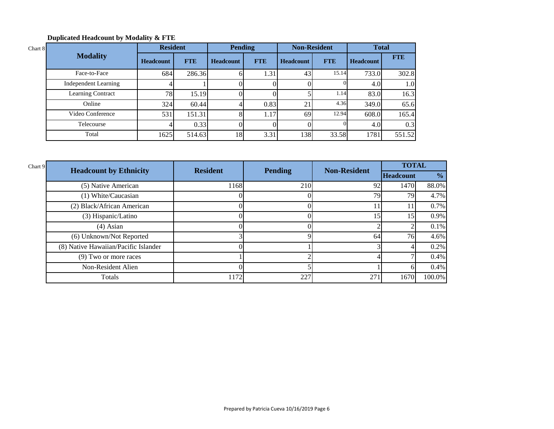#### **Duplicated Headcount by Modality & FTE**

| Chart 8 |                             | <b>Resident</b>  |            | <b>Pending</b>   |            | <b>Non-Resident</b> |            | <b>Total</b>     |            |
|---------|-----------------------------|------------------|------------|------------------|------------|---------------------|------------|------------------|------------|
|         | <b>Modality</b>             | <b>Headcount</b> | <b>FTE</b> | <b>Headcount</b> | <b>FTE</b> | <b>Headcount</b>    | <b>FTE</b> | <b>Headcount</b> | <b>FTE</b> |
|         | Face-to-Face                | 684              | 286.36     |                  | 1.31       | 43                  | 15.14      | 733.0            | 302.8      |
|         | <b>Independent Learning</b> |                  |            |                  |            |                     |            | 4.0              | 1.0        |
|         | Learning Contract           | 78               | 15.19      |                  |            |                     | 1.14       | 83.0             | 16.3       |
|         | Online                      | 324              | 60.44      |                  | 0.83       | 21                  | 4.36       | 349.0            | 65.6       |
|         | Video Conference            | 531              | 151.31     |                  | 1.17       | 69                  | 12.94      | 608.0            | 165.4      |
|         | Telecourse                  |                  | 0.33       |                  |            |                     |            | 4.0              | 0.3        |
|         | Total                       | 1625             | 514.63     | 18               | 3.31       | 138                 | 33.58      | 1781             | 551.52     |

| Chart 9 |                                      |                 |                |                     | <b>TOTAL</b>     |               |
|---------|--------------------------------------|-----------------|----------------|---------------------|------------------|---------------|
|         | <b>Headcount by Ethnicity</b>        | <b>Resident</b> | <b>Pending</b> | <b>Non-Resident</b> | <b>Headcount</b> | $\frac{6}{6}$ |
|         | (5) Native American                  | 1168            | 210            | 92                  | 1470             | 88.0%         |
|         | (1) White/Caucasian                  |                 |                | 79                  | 79               | 4.7%          |
|         | (2) Black/African American           |                 |                | 11                  | 11               | 0.7%          |
|         | (3) Hispanic/Latino                  |                 |                | 15                  | 15 <sup>7</sup>  | 0.9%          |
|         | $(4)$ Asian                          |                 |                |                     |                  | $0.1\%$       |
|         | (6) Unknown/Not Reported             |                 |                | 64                  | 76               | 4.6%          |
|         | (8) Native Hawaiian/Pacific Islander |                 |                |                     |                  | 0.2%          |
|         | (9) Two or more races                |                 |                |                     |                  | 0.4%          |
|         | Non-Resident Alien                   |                 |                |                     |                  | 0.4%          |
|         | Totals                               | 1172            | 227            | 271                 | 1670             | 100.0%        |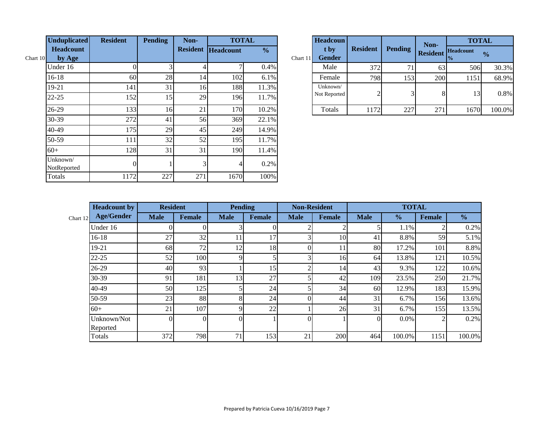|          | <b>Unduplicated</b>     | <b>Resident</b> | <b>Pending</b> | Non- | <b>TOTAL</b>              |               |            | <b>Headcoun</b>       |                 |                | Non-            | <b>TOTAL</b>      |               |
|----------|-------------------------|-----------------|----------------|------|---------------------------|---------------|------------|-----------------------|-----------------|----------------|-----------------|-------------------|---------------|
| Chart 10 | Headcount<br>by Age     |                 |                |      | <b>Resident Headcount</b> | $\frac{0}{0}$ | Chart $11$ | t by<br><b>Gender</b> | <b>Resident</b> | <b>Pending</b> | <b>Resident</b> | Headcount<br>$\%$ | $\frac{0}{0}$ |
|          | Under 16                |                 |                |      |                           | 0.4%          |            | Male                  | 372             | 71             | 63              | 506               | 30.3%         |
|          | $16-18$                 | 60              | 28             | 14   | 102                       | 6.1%          |            | Female                | 798             | 153            | 200             | 1151              | 68.9%         |
|          | 19-21                   | 141             | 31             | 16   | 188                       | 11.3%         |            | Unknown/              | $\bigcap$       |                |                 |                   |               |
|          | $22 - 25$               | 152             | 15             | 29   | 196                       | 11.7%         |            | Not Reported          |                 |                | 8               | 13                | 0.8%          |
|          | $26-29$                 | 133             | 16             | 21   | 170                       | 10.2%         |            | Totals                | 1172            | 227            | 271             | 1670              | 100.0%        |
|          | $30 - 39$               | 272             | 41             | 56   | 369                       | 22.1%         |            |                       |                 |                |                 |                   |               |
|          | 40-49                   | 175             | 29             | 45   | 249                       | 14.9%         |            |                       |                 |                |                 |                   |               |
|          | 50-59                   | 111             | 32             | 52   | 195                       | 11.7%         |            |                       |                 |                |                 |                   |               |
|          | $60+$                   | 128             | 31             | 31   | 190                       | 11.4%         |            |                       |                 |                |                 |                   |               |
|          | Unknown/<br>NotReported | $\overline{0}$  |                | ٦I   |                           | 0.2%          |            |                       |                 |                |                 |                   |               |
|          | Totals                  | 1172            | 227            | 271  | 1670                      | 100%          |            |                       |                 |                |                 |                   |               |

|          | <b>Headcoun</b>          |                 |                | Non-            | <b>TOTAL</b>                      |               |  |  |
|----------|--------------------------|-----------------|----------------|-----------------|-----------------------------------|---------------|--|--|
| Chart 11 | t by<br><b>Gender</b>    | <b>Resident</b> | <b>Pending</b> | <b>Resident</b> | <b>Headcount</b><br>$\frac{0}{0}$ | $\frac{1}{2}$ |  |  |
|          | Male                     | 372             | 71             | 63              | 506                               | 30.3%         |  |  |
|          | Female                   | 798             | 153            | 200             | 1151                              | 68.9%         |  |  |
|          | Unknown/<br>Not Reported | $\overline{2}$  |                |                 | 13                                | 0.8%          |  |  |
|          | Totals                   | 1172            | 227            | 271             | 1670                              | 100.0%        |  |  |

|            | <b>Headcount by</b> | <b>Resident</b> |               | <b>Pending</b> |                 | <b>Non-Resident</b> |               |             | <b>TOTAL</b>  |        |               |  |
|------------|---------------------|-----------------|---------------|----------------|-----------------|---------------------|---------------|-------------|---------------|--------|---------------|--|
| Chart $12$ | <b>Age/Gender</b>   | <b>Male</b>     | <b>Female</b> | <b>Male</b>    | <b>Female</b>   | <b>Male</b>         | <b>Female</b> | <b>Male</b> | $\frac{0}{0}$ | Female | $\frac{6}{6}$ |  |
|            | Under 16            |                 |               |                |                 |                     |               |             | 1.1%          |        | 0.2%          |  |
|            | $16 - 18$           | 27              | 32            |                | 17              |                     | 10            | 41          | 8.8%          | 59     | 5.1%          |  |
|            | 19-21               | 68              | 72            | 12             | 18              | 0                   | 11            | 80          | 17.2%         | 101    | 8.8%          |  |
|            | $22 - 25$           | 52              | 100           |                |                 |                     | 16            | 64          | 13.8%         | 121    | 10.5%         |  |
|            | 26-29               | 40              | 93            |                | 15 <sup>1</sup> |                     | 14            | 43          | 9.3%          | 122    | 10.6%         |  |
|            | 30-39               | 91              | 181           | 13             | 27              |                     | 42            | 109         | 23.5%         | 250    | 21.7%         |  |
|            | 40-49               | 50              | 125           |                | 24              |                     | 34            | 60          | 12.9%         | 183    | 15.9%         |  |
|            | 50-59               | 23              | 88            | $\circ$        | 24              |                     | 44            | 31          | 6.7%          | 156    | 13.6%         |  |
|            | $60+$               | 21              | 107           |                | 22              |                     | 26            | 31          | 6.7%          | 155    | 13.5%         |  |
|            | Unknown/Not         | $\Omega$        | $\Omega$      |                |                 | $\Omega$            |               | $\Omega$    | $0.0\%$       |        | 0.2%          |  |
|            | Reported            |                 |               |                |                 |                     |               |             |               |        |               |  |
|            | Totals              | 372             | 798           | 71             | 153             | 21                  | 200           | 464         | 100.0%        | 1151   | 100.0%        |  |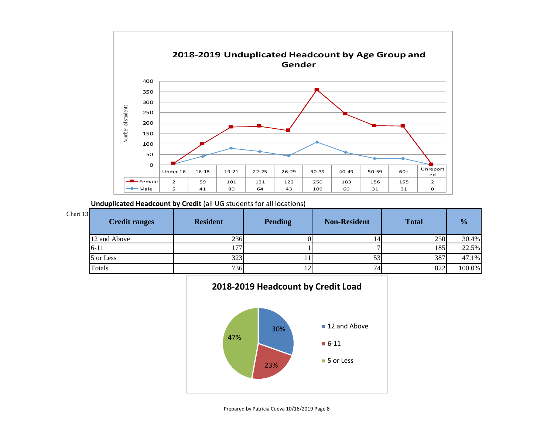

**Unduplicated Headcount by Credit** (all UG students for all locations)

| Chart 13 | <b>Credit ranges</b> | <b>Resident</b> | <b>Pending</b> | <b>Non-Resident</b> | <b>Total</b> | $\frac{0}{0}$ |
|----------|----------------------|-----------------|----------------|---------------------|--------------|---------------|
|          | 12 and Above         | 236             |                | 141                 | 250          | 30.4%         |
|          | $16-11$              | ר ו             |                |                     | 185          | 22.5%         |
|          | 5 or Less            | 323             |                | JJ.                 | 387          | 47.1%         |
|          | Totals               | 736             |                | 74                  | 822          | 100.0%        |

## **2018-2019 Headcount by Credit Load**

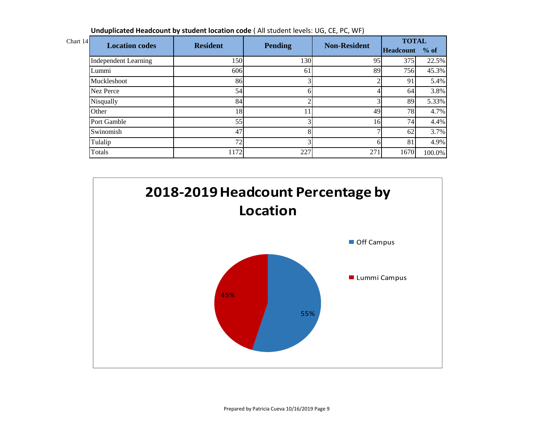**Unduplicated Headcount by student location code** ( All student levels: UG, CE, PC, WF)

| Chart 14 | <b>Location codes</b>       | <b>Resident</b> |                | <b>Non-Resident</b> | <b>TOTAL</b>   |        |
|----------|-----------------------------|-----------------|----------------|---------------------|----------------|--------|
|          |                             |                 | <b>Pending</b> |                     | Headcount % of |        |
|          | <b>Independent Learning</b> | 150             | 130            | 95                  | 375            | 22.5%  |
|          | Lummi                       | 606             | 61             | 89                  | 756            | 45.3%  |
|          | Muckleshoot                 | 86              |                |                     | 91             | 5.4%   |
|          | Nez Perce                   | 54              |                |                     | <sup>64</sup>  | 3.8%   |
|          | Nisqually                   | 84              |                |                     | 89             | 5.33%  |
|          | Other                       | 18              |                | 49                  | 78             | 4.7%   |
|          | Port Gamble                 | 55              |                | 16                  | 74.            | 4.4%   |
|          | Swinomish                   | 47              |                |                     | 62             | 3.7%   |
|          | Tulalip                     | 72              |                |                     | 81             | 4.9%   |
|          | Totals                      | 1172            | 227            | 271                 | 1670           | 100.0% |

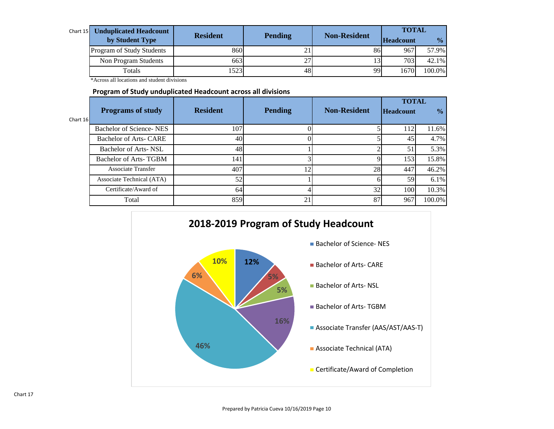| Chart $15$ | <b>Unduplicated Headcount</b> |                 |                |                     | <b>TOTAL</b>     |               |
|------------|-------------------------------|-----------------|----------------|---------------------|------------------|---------------|
|            | by Student Type               | <b>Resident</b> | <b>Pending</b> | <b>Non-Resident</b> | <b>Headcount</b> | $\frac{0}{0}$ |
|            | Program of Study Students     | 8601            |                | 86                  | 967              | 57.9%         |
|            | Non Program Students          | 663             |                |                     | 7031             | 42.1%         |
|            | Totals                        | 15231           | 48             | $\Omega$            | 1670             | 100.0%        |

\*Across all locations and student divisions

#### **Program of Study unduplicated Headcount across all divisions**

|            |                               |                 |                |                     | <b>TOTAL</b>     |               |  |
|------------|-------------------------------|-----------------|----------------|---------------------|------------------|---------------|--|
|            | <b>Programs of study</b>      | <b>Resident</b> | <b>Pending</b> | <b>Non-Resident</b> | <b>Headcount</b> | $\frac{0}{0}$ |  |
| Chart $16$ |                               |                 |                |                     |                  |               |  |
|            | Bachelor of Science-NES       | 107             |                |                     | 112              | 11.6%         |  |
|            | <b>Bachelor of Arts- CARE</b> | 40              |                |                     | 45               | 4.7%          |  |
|            | Bachelor of Arts-NSL          | 48              |                |                     | 51               | 5.3%          |  |
|            | Bachelor of Arts-TGBM         | 141             |                |                     | 153              | 15.8%         |  |
|            | <b>Associate Transfer</b>     | 407             | 12             | 28                  | 447              | 46.2%         |  |
|            | Associate Technical (ATA)     | 52              |                |                     | 59               | 6.1%          |  |
|            | Certificate/Award of          | 64              |                | 32                  | 100              | 10.3%         |  |
|            | Total                         | 859             | 21             | 87                  | 967              | 100.0%        |  |